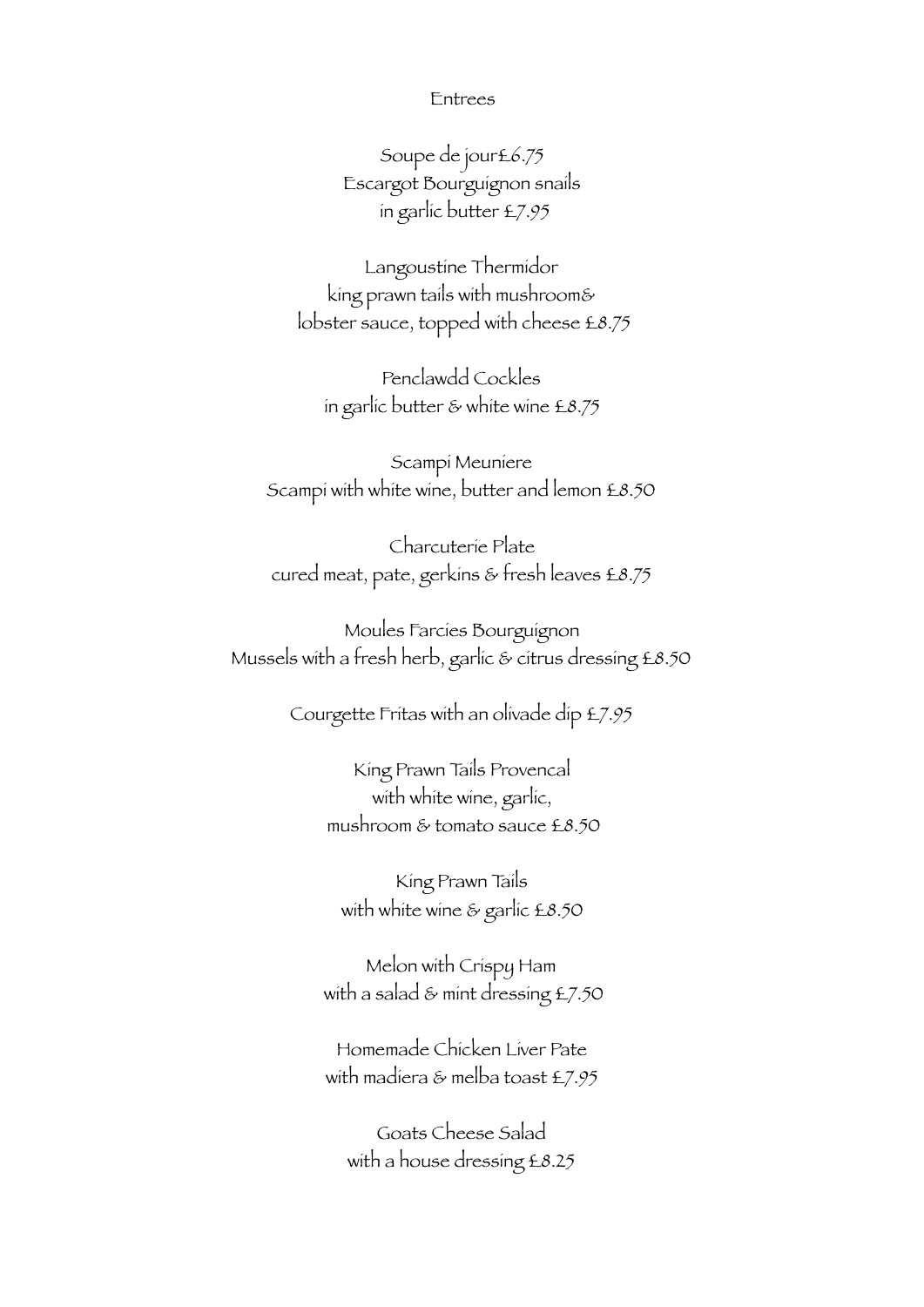## Entrees

Soupe de jour£6.75 Escargot Bourguignon snails in garlic butter £7.95

Langoustine Thermidor king prawn tails with mushroom& lobster sauce, topped with cheese £8.75

Penclawdd Cockles in garlic butter & white wine £8.75

Scampi Meuniere Scampi with white wine, butter and lemon £8.50

Charcuterie Plate cured meat, pate, gerkins & fresh leaves £8.75

Moules Farcies Bourguignon Mussels with a fresh herb, garlic & citrus dressing £8.50

Courgette Fritas with an olivade dip £7.95

King Prawn Tails Provencal with white wine, garlic, mushroom & tomato sauce £8.50

King Prawn Tails with white wine & garlic £8.50

Melon with Crispy Ham with a salad & mint dressing £7.50

Homemade Chicken Liver Pate with madiera & melba toast £7.95

Goats Cheese Salad with a house dressing £8.25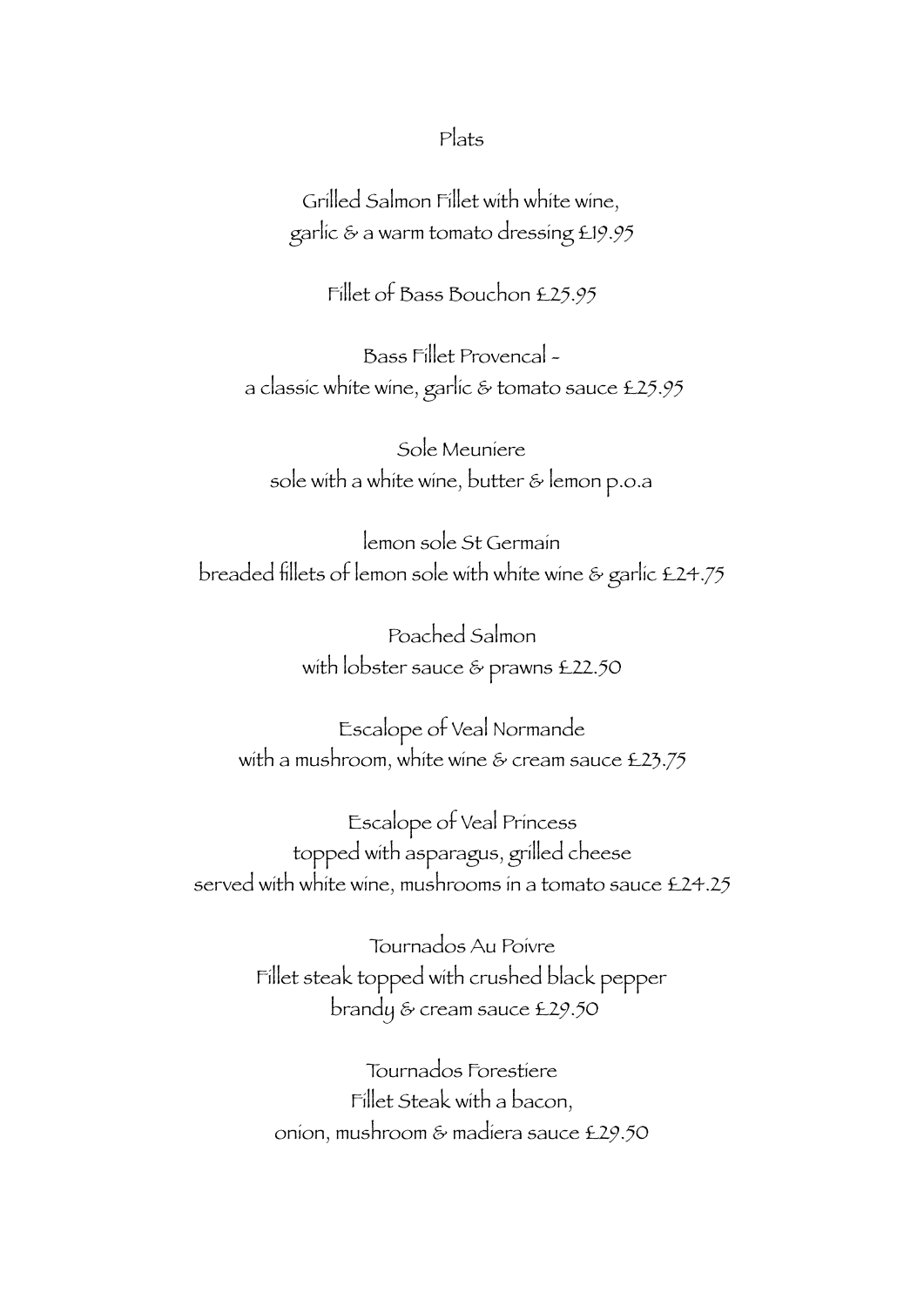## Plats

Grilled Salmon Fillet with white wine, garlic & a warm tomato dressing £19.95

Fillet of Bass Bouchon £25.95

Bass Fillet Provencal a classic white wine, garlic & tomato sauce £25.95

Sole Meuniere sole with a white wine, butter & lemon p.o.a

lemon sole St Germain breaded fillets of lemon sole with white wine & garlic £24.75

> Poached Salmon with lobster sauce & prawns £22.50

Escalope of Veal Normande with a mushroom, white wine & cream sauce £23.75

Escalope of Veal Princess topped with asparagus, grilled cheese served with white wine, mushrooms in a tomato sauce £24.25

> Tournados Au Poivre Fillet steak topped with crushed black pepper brandy & cream sauce £29.50

Tournados Forestiere Fillet Steak with a bacon, onion, mushroom & madiera sauce £29.50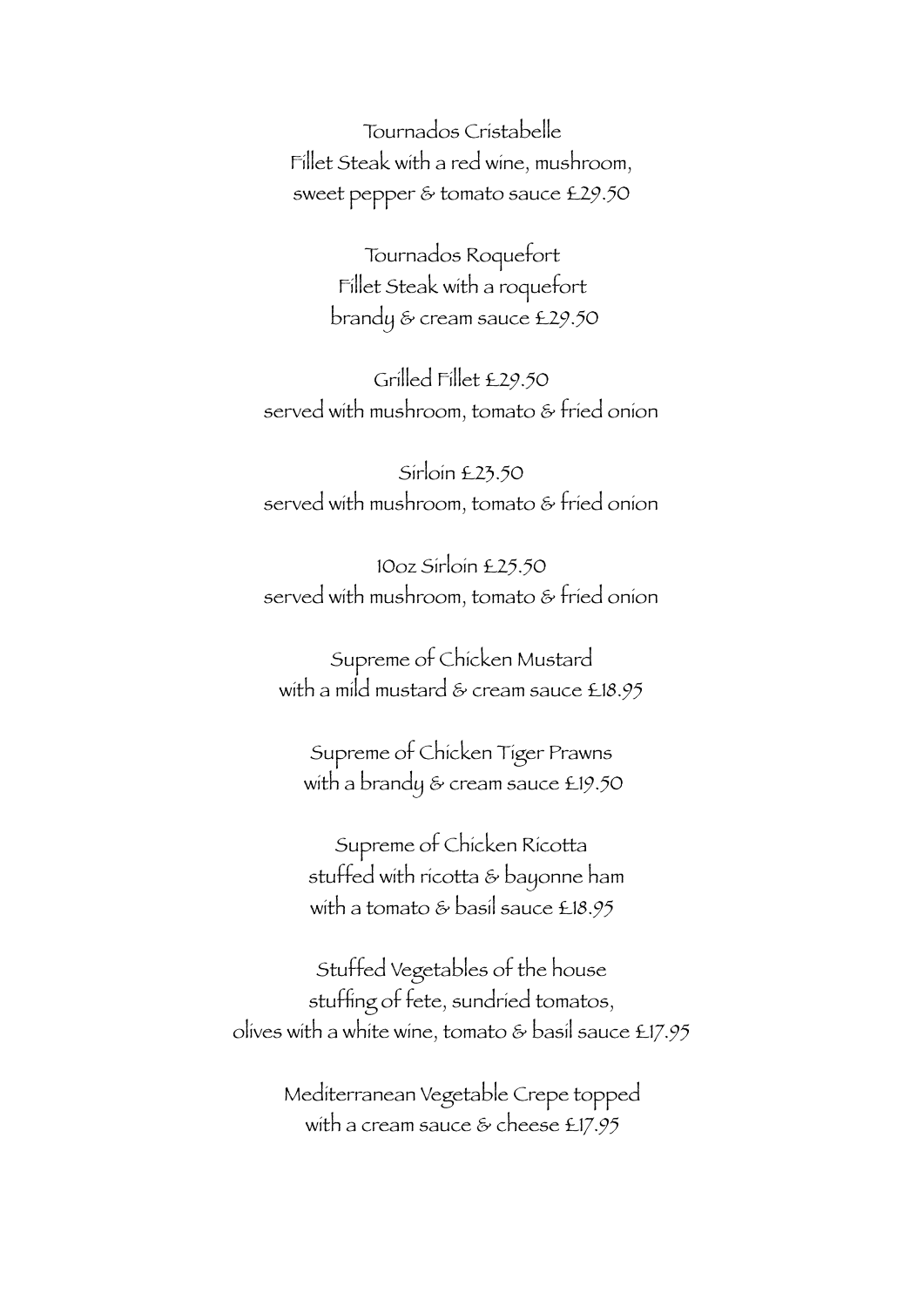Tournados Cristabelle Fillet Steak with a red wine, mushroom, sweet pepper & tomato sauce £29.50

> Tournados Roquefort Fillet Steak with a roquefort brandy & cream sauce £29.50

Grilled Fillet £29.50 served with mushroom, tomato & fried onion

Sirloin £23.50 served with mushroom, tomato & fried onion

10oz Sirloin £25.50 served with mushroom, tomato & fried onion

Supreme of Chicken Mustard with a mild mustard & cream sauce £18.95

Supreme of Chicken Tiger Prawns with a brandy & cream sauce £19.50

Supreme of Chicken Ricotta stuffed with ricotta & bayonne ham with a tomato & basil sauce £18.95

Stuffed Vegetables of the house stuffing of fete, sundried tomatos, olives with a white wine, tomato & basil sauce £17.95

> Mediterranean Vegetable Crepe topped with a cream sauce & cheese £17.95